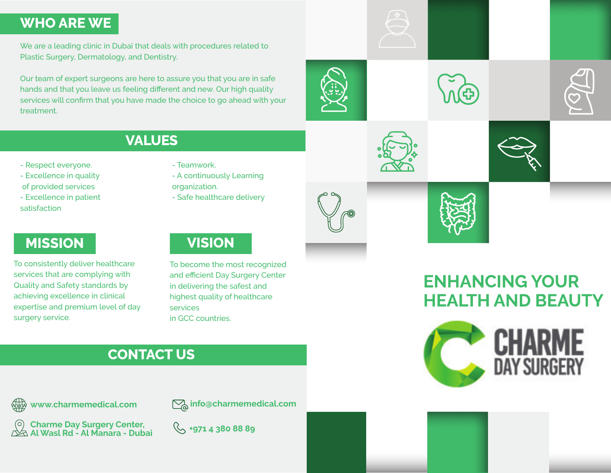### **WHO ARE WE**

We are a leading clinic in Dubai that deals with procedures related to Plastic Surgery, Dermatology, and Dentistry.

Our team of expert surgeons are here to assure you that you are in safe hands and that you leave us feeling different and new. Our high quality services will confirm that you have made the choice to go ahead with your treatment.

**VALUES**

- Respect everyone.
- Excellence in quality
- of provided services
- Excellence in patient satisfaction

### **MISSION VISION**

To consistently deliver healthcare services that are complying with Quality and Safety standards by achieving excellence in clinical expertise and premium level of day surgery service.

#### - A continuously Learning organization.

- Teamwork.

services

in GCC countries.

- Safe healthcare delivery

To become the most recognized and efficient Day Surgery Center in delivering the safest and highest quality of healthcare



# **ENHANCING YOUR HEALTH AND BEAUTY**





## **CONTACT US**



**info@charmemedical.com**

**+971 4 380 88 89 Charme Day Surgery Center, Al Wasl Rd - Al Manara - Dubai**